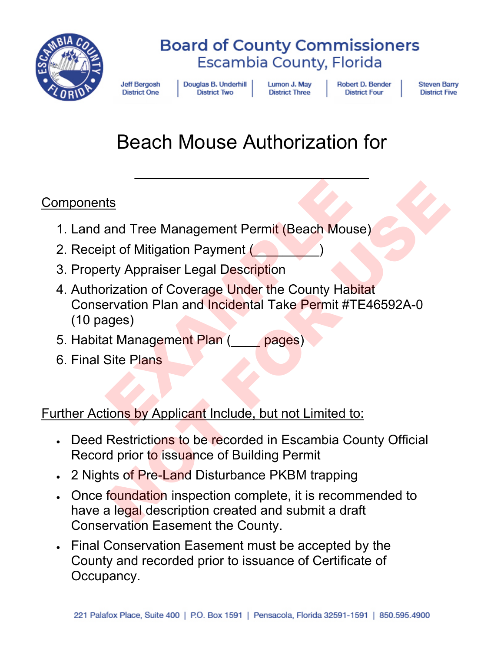

**Jeff Bergosh District One** 

Douglas B. Underhill **District Two** 

Lumon J. May **District Three** 

**Robert D. Bender District Four** 

**Steven Barry District Five** 

# Beach Mouse Authorization for

 $\overline{\phantom{a}}$  , and the contract of the contract of the contract of the contract of the contract of the contract of the contract of the contract of the contract of the contract of the contract of the contract of the contrac

### **Components**

- 1. Land and Tree Management Permit (Beach Mouse)
- 2. Receipt of Mitigation Payment (
- 3. Property Appraiser Legal Description
- 4. Authorization of Coverage Under the County Habitat Conservation Plan and Incidental Take Permit #TE46592A-0 (10 pages) EXAMPLE Is<br>
In Tree Management Permit (Beach Mouse)<br>
Not of Mitigation Payment<br>
Try Appraiser Legal Description<br>
Inization of Coverage Under the County Habitat<br>
Insulance Under the County Habitat<br>
In The County Habitat<br>
In The Cou
- 5. Habitat Management Plan (\_\_\_\_ pages)
- 6. Final Site Plans

### Further Actions by Applicant Include, but not Limited to:

- **Deed Restrictions to be recorded in Escambia County Official** Record prior to issuance of Building Permit
- 2 Nights of Pre-Land Disturbance PKBM trapping
- Once foundation inspection complete, it is recommended to have a legal description created and submit a draft Conservation Easement the County.
- Final Conservation Easement must be accepted by the County and recorded prior to issuance of Certificate of Occupancy.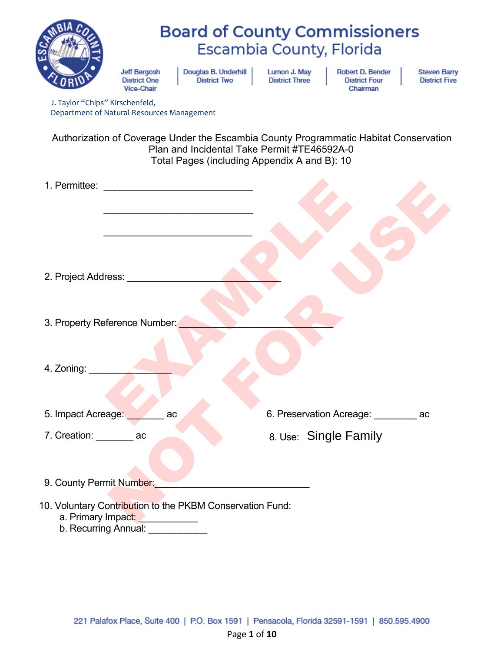| J. Taylor "Chips" Kirschenfeld,                                                 | <b>Jeff Bergosh</b><br><b>District One</b><br><b>Vice-Chair</b> | Douglas B. Underhill<br><b>District Two</b>                                                 | Lumon J. May<br><b>District Three</b> | <b>Board of County Commissioners</b><br>Escambia County, Florida<br><b>Robert D. Bender</b><br><b>District Four</b><br>Chairman | <b>Steven Barry</b><br><b>District Five</b> |
|---------------------------------------------------------------------------------|-----------------------------------------------------------------|---------------------------------------------------------------------------------------------|---------------------------------------|---------------------------------------------------------------------------------------------------------------------------------|---------------------------------------------|
| Department of Natural Resources Management                                      |                                                                 |                                                                                             |                                       |                                                                                                                                 |                                             |
|                                                                                 |                                                                 | Plan and Incidental Take Permit #TE46592A-0<br>Total Pages (including Appendix A and B): 10 |                                       | Authorization of Coverage Under the Escambia County Programmatic Habitat Conservation                                           |                                             |
| 1. Permittee:                                                                   | <u> 1980 - Jan Barbarat, manala</u>                             |                                                                                             |                                       |                                                                                                                                 |                                             |
|                                                                                 |                                                                 |                                                                                             |                                       |                                                                                                                                 |                                             |
|                                                                                 |                                                                 |                                                                                             |                                       |                                                                                                                                 |                                             |
|                                                                                 |                                                                 |                                                                                             |                                       |                                                                                                                                 |                                             |
| 2. Project Address:                                                             |                                                                 |                                                                                             |                                       |                                                                                                                                 |                                             |
| 3. Property Reference Number:                                                   |                                                                 |                                                                                             |                                       |                                                                                                                                 |                                             |
|                                                                                 |                                                                 |                                                                                             |                                       |                                                                                                                                 |                                             |
| 4. Zoning:                                                                      |                                                                 |                                                                                             |                                       |                                                                                                                                 |                                             |
|                                                                                 |                                                                 |                                                                                             |                                       |                                                                                                                                 |                                             |
| 5. Impact Acreage:                                                              | ac                                                              |                                                                                             |                                       | 6. Preservation Acreage: ac                                                                                                     |                                             |
| 7. Creation: ac                                                                 |                                                                 |                                                                                             |                                       | 8. Use: Single Family                                                                                                           |                                             |
|                                                                                 |                                                                 |                                                                                             |                                       |                                                                                                                                 |                                             |
| 9. County Permit Number:                                                        |                                                                 |                                                                                             |                                       |                                                                                                                                 |                                             |
| 10. Voluntary Contribution to the PKBM Conservation Fund:<br>a. Primary Impact: |                                                                 |                                                                                             |                                       |                                                                                                                                 |                                             |

b. Recurring Annual: \_\_\_\_\_\_\_\_\_\_\_\_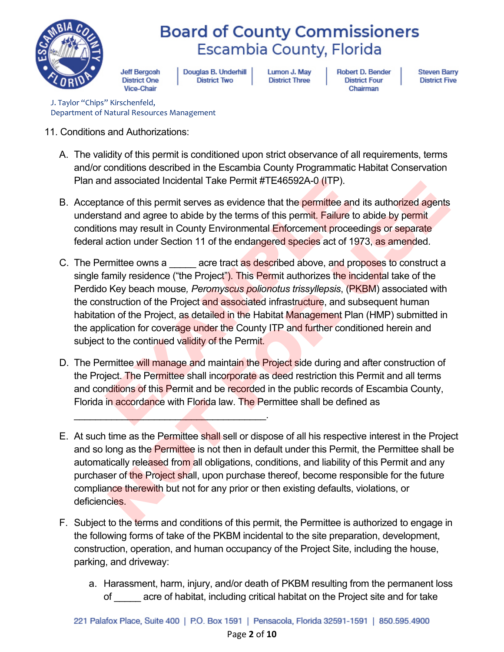

**Jeff Bergosh District One** Vice-Chair

Douglas B. Underhill **District Two** 

Lumon J. May **District Three** 

**Robert D. Bender District Four** Chairman

**Steven Barry District Five** 

J. Taylor "Chips" Kirschenfeld, Department of Natural Resources Management

- 11. Conditions and Authorizations:
	- A. The validity of this permit is conditioned upon strict observance of all requirements, terms and/or conditions described in the Escambia County Programmatic Habitat Conservation Plan and associated Incidental Take Permit #TE46592A-0 (ITP).
	- B. Acceptance of this permit serves as evidence that the permittee and its authorized agents understand and agree to abide by the terms of this permit. Failure to abide by permit conditions may result in County Environmental Enforcement proceedings or separate federal action under Section 11 of the endangered species act of 1973, as amended.
	- C. The Permittee owns a \_\_\_\_\_\_ acre tract as described above, and proposes to construct a single family residence ("the Project"). This Permit authorizes the incidental take of the Perdido Key beach mouse*, Peromyscus polionotus trissyllepsis*, (PKBM) associated with the construction of the Project and associated infrastructure, and subsequent human habitation of the Project, as detailed in the Habitat Management Plan (HMP) submitted in the application for coverage under the County ITP and further conditioned herein and subject to the continued validity of the Permit. ance of this permit serves as evidence that the **permit #TE46592A-0** (ITP).<br>
	ance of this permit serves as evidence that the **permittee** and its<br>
	it and and agree to abide by the terms of this permit. Failure to abid<br>
	ans al associated includental Take Permit #1 E40392A-0 (TIP).<br>The annote of this permit serves as evidence that the **permit Faller e** and its authorized agents<br>and and agree to abide by the terms of this permit. Faller to abid
	- D. The Permittee will manage and maintain the Project side during and after construction of the Project. The Permittee shall incorporate as deed restriction this Permit and all terms and conditions of this Permit and be recorded in the public records of Escambia County, Florida in accordance with Florida law. The Permittee shall be defined as

 $\mathcal{L}=\mathcal{L}=\mathcal{L}=\mathcal{L}=\mathcal{L}=\mathcal{L}=\mathcal{L}=\mathcal{L}=\mathcal{L}=\mathcal{L}=\mathcal{L}=\mathcal{L}=\mathcal{L}=\mathcal{L}=\mathcal{L}=\mathcal{L}=\mathcal{L}=\mathcal{L}=\mathcal{L}=\mathcal{L}=\mathcal{L}=\mathcal{L}=\mathcal{L}=\mathcal{L}=\mathcal{L}=\mathcal{L}=\mathcal{L}=\mathcal{L}=\mathcal{L}=\mathcal{L}=\mathcal{L}=\mathcal{L}=\mathcal{L}=\mathcal{L}=\mathcal{L}=\mathcal{L}=\mathcal{$ 

- E. At such time as the Permittee shall sell or dispose of all his respective interest in the Project and so long as the Permittee is not then in default under this Permit, the Permittee shall be automatically released from all obligations, conditions, and liability of this Permit and any purchaser of the Project shall, upon purchase thereof, become responsible for the future compliance therewith but not for any prior or then existing defaults, violations, or deficiencies.
- F. Subject to the terms and conditions of this permit, the Permittee is authorized to engage in the following forms of take of the PKBM incidental to the site preparation, development, construction, operation, and human occupancy of the Project Site, including the house, parking, and driveway:
	- a. Harassment, harm, injury, and/or death of PKBM resulting from the permanent loss of \_\_\_\_\_ acre of habitat, including critical habitat on the Project site and for take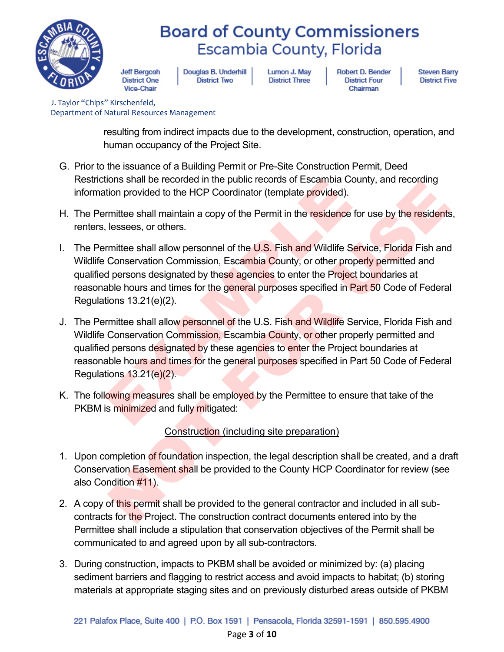

**Jeff Bergosh District One** Vice-Chair

Douglas B. Underhill **District Two** 

Lumon J. May **District Three** 

**Robert D. Bender District Four** Chairman

**Steven Barry District Five** 

J. Taylor "Chips" Kirschenfeld, Department of Natural Resources Management

> resulting from indirect impacts due to the development, construction, operation, and human occupancy of the Project Site.

- G. Prior to the issuance of a Building Permit or Pre-Site Construction Permit, Deed Restrictions shall be recorded in the public records of Escambia County, and recording information provided to the HCP Coordinator (template provided).
- H. The Permittee shall maintain a copy of the Permit in the residence for use by the residents, renters, lessees, or others.
- I. The Permittee shall allow personnel of the U.S. Fish and Wildlife Service, Florida Fish and Wildlife Conservation Commission, Escambia County, or other properly permitted and qualified persons designated by these agencies to enter the Project boundaries at reasonable hours and times for the general purposes specified in Part 50 Code of Federal Regulations 13.21(e)(2).
- J. The Permittee shall allow personnel of the U.S. Fish and Wildlife Service, Florida Fish and Wildlife Conservation Commission, Escambia County, or other properly permitted and qualified persons designated by these agencies to enter the Project boundaries at reasonable hours and times for the general purposes specified in Part 50 Code of Federal Regulations 13.21(e)(2). tions shall be recorded in the public records of Escambia County<br>tion provided to the HCP Coordinator (template provided).<br>
mittee shall maintain a copy of the Permit in the residence for us<br>
lessees, or others.<br>
mittee sh or shall be recolucted in the public counterpart of the structure of this permit shall be provided in the product of the HCP Coordinator (template provided).<br>
Inititiee shall maintain a copy of the Permit in the residence
- K. The following measures shall be employed by the Permittee to ensure that take of the PKBM is minimized and fully mitigated:

Construction (including site preparation)

- 1. Upon completion of foundation inspection, the legal description shall be created, and a draft Conservation Easement shall be provided to the County HCP Coordinator for review (see also Condition #11).
- 2. A copy of this permit shall be provided to the general contractor and included in all subcontracts for the Project. The construction contract documents entered into by the Permittee shall include a stipulation that conservation objectives of the Permit shall be communicated to and agreed upon by all sub-contractors.
- 3. During construction, impacts to PKBM shall be avoided or minimized by: (a) placing sediment barriers and flagging to restrict access and avoid impacts to habitat; (b) storing materials at appropriate staging sites and on previously disturbed areas outside of PKBM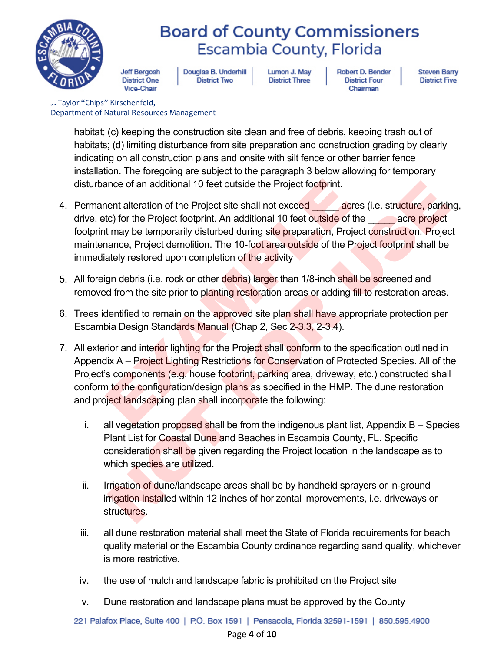

**Jeff Bergosh District One** Vice-Chair

Douglas B. Underhill **District Two** 

Lumon J. May **District Three** 

**Robert D. Bender District Four** Chairman

**Steven Barry District Five** 

J. Taylor "Chips" Kirschenfeld, Department of Natural Resources Management

> habitat; (c) keeping the construction site clean and free of debris, keeping trash out of habitats; (d) limiting disturbance from site preparation and construction grading by clearly indicating on all construction plans and onsite with silt fence or other barrier fence installation. The foregoing are subject to the paragraph 3 below allowing for temporary disturbance of an additional 10 feet outside the Project footprint.

- 4. Permanent alteration of the Project site shall not exceed acres (i.e. structure, parking, drive, etc) for the Project footprint. An additional 10 feet outside of the acre project footprint may be temporarily disturbed during site preparation, Project construction, Project maintenance, Project demolition. The 10-foot area outside of the Project footprint shall be immediately restored upon completion of the activity
- 5. All foreign debris (i.e. rock or other debris) larger than 1/8-inch shall be screened and removed from the site prior to planting restoration areas or adding fill to restoration areas.
- 6. Trees identified to remain on the approved site plan shall have appropriate protection per Escambia Design Standards Manual (Chap 2, Sec 2-3.3, 2-3.4).
- 7. All exterior and interior lighting for the Project shall conform to the specification outlined in Appendix A – Project Lighting Restrictions for Conservation of Protected Species. All of the Project's components (e.g. house footprint, parking area, driveway, etc.) constructed shall conform to the configuration/design plans as specified in the HMP. The dune restoration and project landscaping plan shall incorporate the following: ance of an additional 10 feet outside the Project footprint.<br>
Nent alteration of the Project site shall not exceed<br>
to:) for the Project footprint. An additional 10 feet outside of the the<br>
the throny be temporarily distur nce of an additional 10 feet outside the Project footprint.<br>
ent alteration of the Project site shall not exceed<br>  $\therefore$  for the Project parkin and 10 feet outside of the  $\frac{1}{2}$ <br>
core for the Project poperation, Project
	- i. all vegetation proposed shall be from the indigenous plant list, Appendix  $B -$  Species Plant List for Coastal Dune and Beaches in Escambia County, FL. Specific consideration shall be given regarding the Project location in the landscape as to which species are utilized.
	- ii. Irrigation of dune/landscape areas shall be by handheld sprayers or in-ground irrigation installed within 12 inches of horizontal improvements, i.e. driveways or structures.
	- iii. all dune restoration material shall meet the State of Florida requirements for beach quality material or the Escambia County ordinance regarding sand quality, whichever is more restrictive.
	- iv. the use of mulch and landscape fabric is prohibited on the Project site
	- v. Dune restoration and landscape plans must be approved by the County

221 Palafox Place, Suite 400 | P.O. Box 1591 | Pensacola, Florida 32591-1591 | 850.595.4900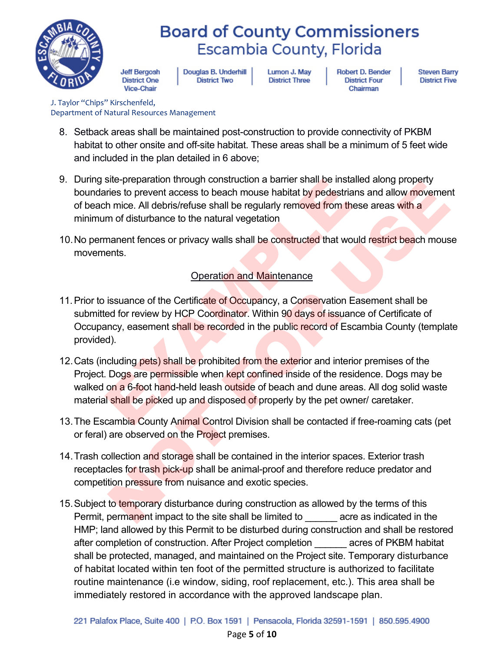

**Jeff Bergosh District One** Vice-Chair

Douglas B. Underhill **District Two** 

Lumon J. May **District Three** 

**Robert D. Bender District Four** Chairman

**Steven Barry District Five** 

J. Taylor "Chips" Kirschenfeld, Department of Natural Resources Management

- 8. Setback areas shall be maintained post-construction to provide connectivity of PKBM habitat to other onsite and off-site habitat. These areas shall be a minimum of 5 feet wide and included in the plan detailed in 6 above;
- 9. During site-preparation through construction a barrier shall be installed along property boundaries to prevent access to beach mouse habitat by pedestrians and allow movement of beach mice. All debris/refuse shall be regularly removed from these areas with a minimum of disturbance to the natural vegetation
- 10. No permanent fences or privacy walls shall be constructed that would restrict beach mouse movements.

#### Operation and Maintenance

- 11. Prior to issuance of the Certificate of Occupancy, a Conservation Easement shall be submitted for review by HCP Coordinator. Within 90 days of issuance of Certificate of Occupancy, easement shall be recorded in the public record of Escambia County (template provided).
- 12. Cats (including pets) shall be prohibited from the exterior and interior premises of the Project. Dogs are permissible when kept confined inside of the residence. Dogs may be walked on a 6-foot hand-held leash outside of beach and dune areas. All dog solid waste material shall be picked up and disposed of properly by the pet owner/ caretaker. site-preparation inrough construction a barrier shall be installed a<br>ries to prevent access to beach mouse habitat by pedestrians and mice. All debris/refuse shall be regularly removed from these a<br>m of disturbance to the Stephanon tunnough customational daring and the instanted and the terms of the terms of the terms of the constructed that would restrict properties. All debtis/refuse shall be regularly removed from these areas with a m of
- 13.The Escambia County Animal Control Division shall be contacted if free-roaming cats (pet or feral) are observed on the Project premises.
- 14.Trash collection and storage shall be contained in the interior spaces. Exterior trash receptacles for trash pick-up shall be animal-proof and therefore reduce predator and competition pressure from nuisance and exotic species.
- 15. Subject to temporary disturbance during construction as allowed by the terms of this Permit, permanent impact to the site shall be limited to example acre as indicated in the HMP; land allowed by this Permit to be disturbed during construction and shall be restored after completion of construction. After Project completion \_\_\_\_\_\_ acres of PKBM habitat shall be protected, managed, and maintained on the Project site. Temporary disturbance of habitat located within ten foot of the permitted structure is authorized to facilitate routine maintenance (i.e window, siding, roof replacement, etc.). This area shall be immediately restored in accordance with the approved landscape plan.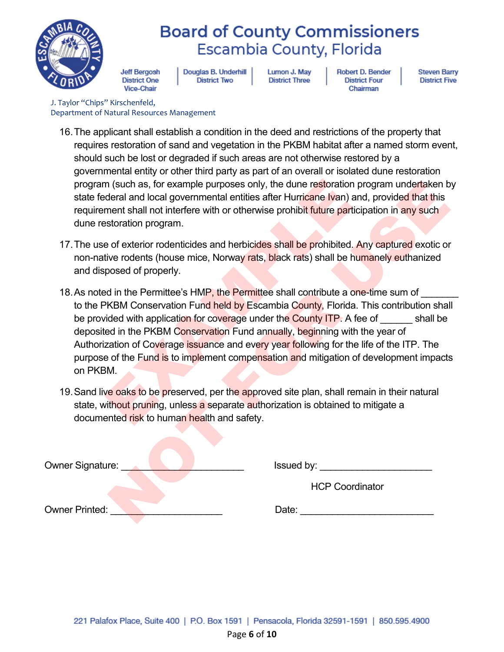

**Jeff Bergosh District One** Vice-Chair

Douglas B. Underhill **District Two** 

Lumon J. May **District Three**  **Robert D. Bender District Four** Chairman

**Steven Barry District Five** 

J. Taylor "Chips" Kirschenfeld, Department of Natural Resources Management

- 16.The applicant shall establish a condition in the deed and restrictions of the property that requires restoration of sand and vegetation in the PKBM habitat after a named storm event, should such be lost or degraded if such areas are not otherwise restored by a governmental entity or other third party as part of an overall or isolated dune restoration program (such as, for example purposes only, the dune restoration program undertaken by state federal and local governmental entities after Hurricane Ivan) and, provided that this requirement shall not interfere with or otherwise prohibit future participation in any such dune restoration program.
- 17. The use of exterior rodenticides and herbicides shall be prohibited. Any captured exotic or non-native rodents (house mice, Norway rats, black rats) shall be humanely euthanized and disposed of properly.
- 18. As noted in the Permittee's HMP, the Permittee shall contribute a one-time sum of to the PKBM Conservation Fund held by Escambia County, Florida. This contribution shall be provided with application for coverage under the County ITP. A fee of shall be deposited in the PKBM Conservation Fund annually, beginning with the year of Authorization of Coverage issuance and every year following for the life of the ITP. The purpose of the Fund is to implement compensation and mitigation of development impacts on PKBM. n (such as, for example purposes only, the dune restoration progueral and local governmental entities after Hurricane Ivan) and, if<br>ment shall not interfere with or otherwise prohibit future participat<br>storation program.<br>e In (such as, for example purposes only, the dune restoration program undertaken behind local governmental entities after Hurricane Ivan) and, provided that this tend and local governmental entities after Hurricane Ivan) an
- 19. Sand live oaks to be preserved, per the approved site plan, shall remain in their natural state, without pruning, unless a separate authorization is obtained to mitigate a documented risk to human health and safety.

| Owner Signature:      | Issued by:             |
|-----------------------|------------------------|
|                       | <b>HCP Coordinator</b> |
| <b>Owner Printed:</b> | Date:                  |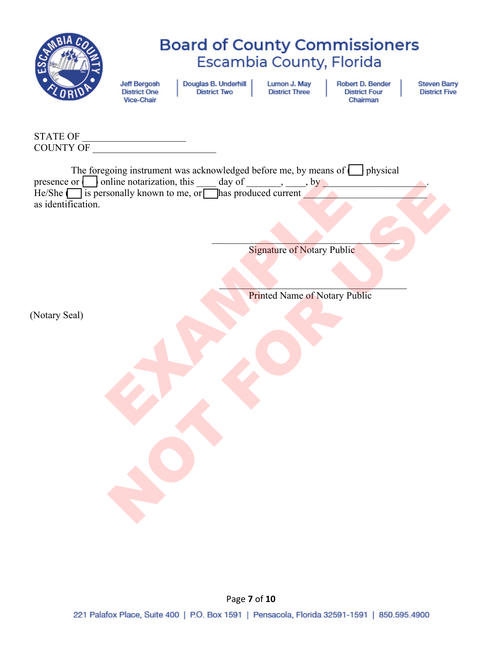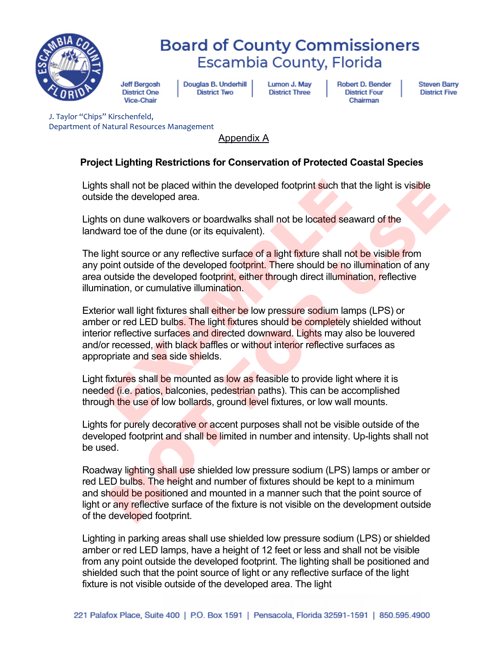

**Jeff Bergosh District One** Vice-Chair

Douglas B. Underhill **District Two** 

Lumon J. May **District Three** 

**Robert D. Bender District Four** Chairman

**Steven Barry District Five** 

J. Taylor "Chips" Kirschenfeld, Department of Natural Resources Management

Appendix A

#### **Project Lighting Restrictions for Conservation of Protected Coastal Species**

Lights shall not be placed within the developed footprint such that the light is visible outside the developed area.

Lights on dune walkovers or boardwalks shall not be located seaward of the landward toe of the dune (or its equivalent).

The light source or any reflective surface of a light fixture shall not be visible from any point outside of the developed footprint. There should be no illumination of any area outside the developed footprint, either through direct illumination, reflective illumination, or cumulative illumination.

Exterior wall light fixtures shall either be low pressure sodium lamps (LPS) or amber or red LED bulbs. The light fixtures should be completely shielded without interior reflective surfaces and directed downward. Lights may also be louvered and/or recessed, with black baffles or without interior reflective surfaces as appropriate and sea side shields. Is shall not be placed within the developed footprint such that the<br>de the developed area.<br>Son dune walkovers or boardwalks shall not be located seaward<br>vard toe of the dune (or its equivalent).<br>Ight source or any reflecti

Light fixtures shall be mounted as low as feasible to provide light where it is needed (i.e. patios, balconies, pedestrian paths). This can be accomplished through the use of low bollards, ground level fixtures, or low wall mounts.

Lights for purely decorative or accent purposes shall not be visible outside of the developed footprint and shall be limited in number and intensity. Up-lights shall not be used.

Roadway lighting shall use shielded low pressure sodium (LPS) lamps or amber or red LED bulbs. The height and number of fixtures should be kept to a minimum and should be positioned and mounted in a manner such that the point source of light or any reflective surface of the fixture is not visible on the development outside of the developed footprint. shall not be placed within the developed footprint such that the light is visible<br>e the developed area.<br>on dune walkovers or boardwalks shall not be located seaward of the<br>ard toe of the dune (or its equivalent).<br>In source

Lighting in parking areas shall use shielded low pressure sodium (LPS) or shielded amber or red LED lamps, have a height of 12 feet or less and shall not be visible from any point outside the developed footprint. The lighting shall be positioned and shielded such that the point source of light or any reflective surface of the light fixture is not visible outside of the developed area. The light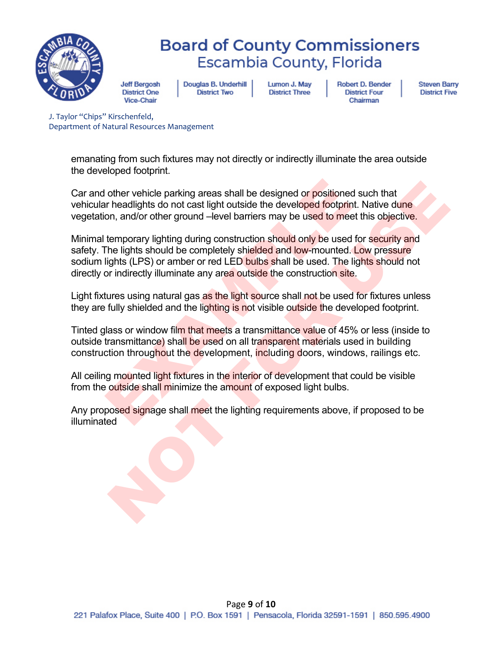

**Jeff Bergosh District One** Vice-Chair

Douglas B. Underhill **District Two** 

Lumon J. May **District Three** 

**Robert D. Bender District Four** Chairman

**Steven Barry District Five** 

J. Taylor "Chips" Kirschenfeld, Department of Natural Resources Management

> emanating from such fixtures may not directly or indirectly illuminate the area outside the developed footprint.

Car and other vehicle parking areas shall be designed or positioned such that vehicular headlights do not cast light outside the developed footprint. Native dune vegetation, and/or other ground –level barriers may be used to meet this objective.

Minimal temporary lighting during construction should only be used for security and safety. The lights should be completely shielded and low-mounted. Low pressure sodium lights (LPS) or amber or red LED bulbs shall be used. The lights should not directly or indirectly illuminate any area outside the construction site. other vehicle parking areas shall be designed or positioned such the distribution, and/or other ground –level barriers may be used to meet this temporary lighting during construction should only be used to meet this tempor other vehicle parking areas shall be designed or positioned such that<br>headlights do not cast light outside the developed footprint. Native dune<br>nn, and/or other ground –level barriers may be used to meet this objective.<br>He

Light fixtures using natural gas as the light source shall not be used for fixtures unless they are fully shielded and the lighting is not visible outside the developed footprint.

Tinted glass or window film that meets a transmittance value of 45% or less (inside to outside transmittance) shall be used on all transparent materials used in building construction throughout the development, including doors, windows, railings etc.

All ceiling mounted light fixtures in the interior of development that could be visible from the outside shall minimize the amount of exposed light bulbs.

Any proposed signage shall meet the lighting requirements above, if proposed to be illuminated